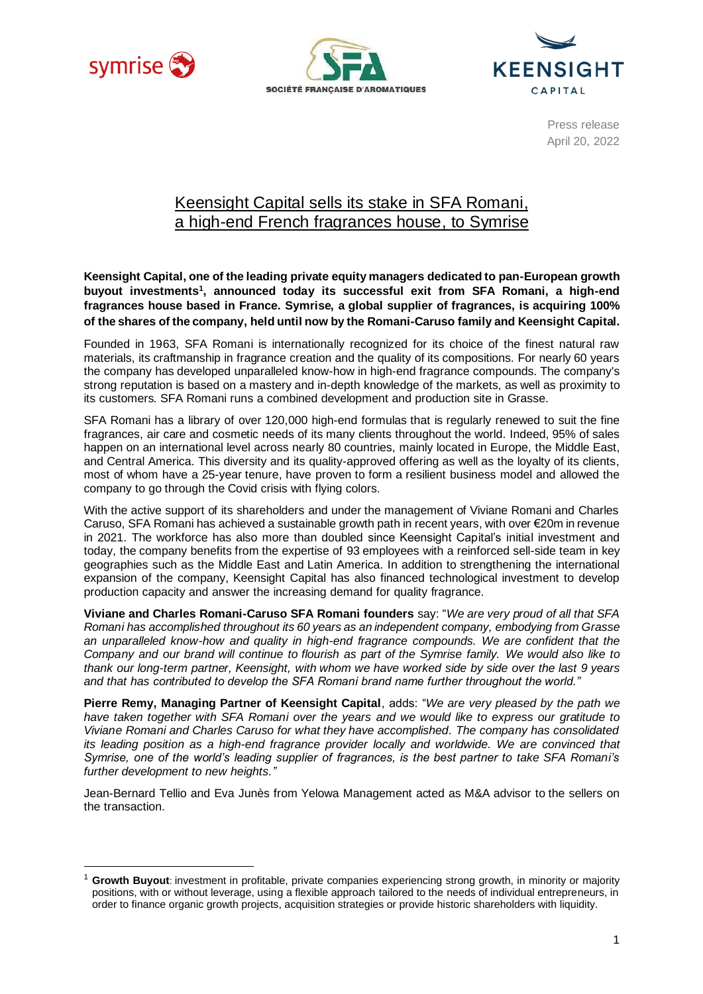





Press release April 20, 2022

## Keensight Capital sells its stake in SFA Romani, a high-end French fragrances house, to Symrise

**Keensight Capital, one of the leading private equity managers dedicated to pan-European growth buyout investments<sup>1</sup> , announced today its successful exit from SFA Romani, a high-end fragrances house based in France. Symrise, a global supplier of fragrances, is acquiring 100% of the shares of the company, held until now by the Romani-Caruso familyand Keensight Capital.**

Founded in 1963, SFA Romani is internationally recognized for its choice of the finest natural raw materials, its craftmanship in fragrance creation and the quality of its compositions. For nearly 60 years the company has developed unparalleled know-how in high-end fragrance compounds. The company's strong reputation is based on a mastery and in-depth knowledge of the markets, as well as proximity to its customers. SFA Romani runs a combined development and production site in Grasse.

SFA Romani has a library of over 120,000 high-end formulas that is regularly renewed to suit the fine fragrances, air care and cosmetic needs of its many clients throughout the world. Indeed, 95% of sales happen on an international level across nearly 80 countries, mainly located in Europe, the Middle East, and Central America. This diversity and its quality-approved offering as well as the loyalty of its clients, most of whom have a 25-year tenure, have proven to form a resilient business model and allowed the company to go through the Covid crisis with flying colors.

With the active support of its shareholders and under the management of Viviane Romani and Charles Caruso, SFA Romani has achieved a sustainable growth path in recent years, with over €20m in revenue in 2021. The workforce has also more than doubled since Keensight Capital's initial investment and today, the company benefits from the expertise of 93 employees with a reinforced sell-side team in key geographies such as the Middle East and Latin America. In addition to strengthening the international expansion of the company, Keensight Capital has also financed technological investment to develop production capacity and answer the increasing demand for quality fragrance.

**Viviane and Charles Romani-Caruso SFA Romani founders** say: "*We are very proud of all that SFA Romani has accomplished throughout its 60 years as an independent company, embodying from Grasse*  an unparalleled know-how and quality in high-end fragrance compounds. We are confident that the *Company and our brand will continue to flourish as part of the Symrise family. We would also like to thank our long-term partner, Keensight, with whom we have worked side by side over the last 9 years and that has contributed to develop the SFA Romani brand name further throughout the world."*

**Pierre Remy, Managing Partner of Keensight Capital**, adds: "*We are very pleased by the path we have taken together with SFA Romani over the years and we would like to express our gratitude to Viviane Romani and Charles Caruso for what they have accomplished. The company has consolidated its leading position as a high-end fragrance provider locally and worldwide. We are convinced that Symrise, one of the world's leading supplier of fragrances, is the best partner to take SFA Romani's further development to new heights."*

Jean-Bernard Tellio and Eva Junès from Yelowa Management acted as M&A advisor to the sellers on the transaction.

<sup>1</sup> **Growth Buyout**: investment in profitable, private companies experiencing strong growth, in minority or majority positions, with or without leverage, using a flexible approach tailored to the needs of individual entrepreneurs, in order to finance organic growth projects, acquisition strategies or provide historic shareholders with liquidity.